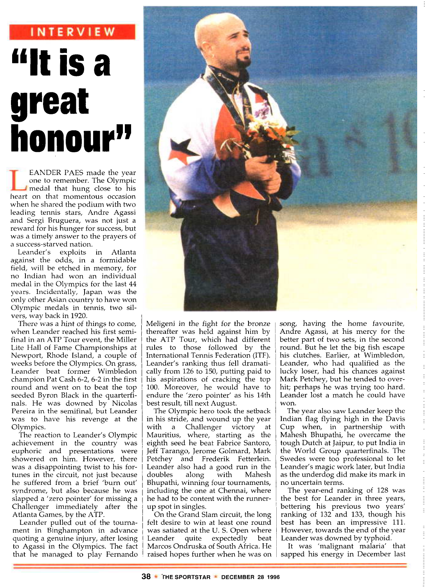# **INTERVIEW "It is a great honou**

EANDER PAES made the year one to remember. The Olympic medal that hung close to his heart on that momentous occasion when he shared the podium with two leading tennis stars, Andre Agassi and Sergi Bruguera, was not just a reward for his hunger for success, but was a timely answer to the prayers of a success-starved nation.

Leander's exploits in Atlanta against the odds, in a formidable field, will be etched in memory, for no Indian had won an individual medal in the Olympics for the last 44 years. Incidentally, Japan was the only other Asian country to have won Olympic medals in tennis, two silvers, way back in 1920.

There was a hint of things to come, when Leander reached his first semifinal in an ATP Tour event, the Miller Lite Hall of Fame Championships at Newport, Rhode Island, a couple of weeks before the Olympics. On grass, Leander beat former Wimbledon champion Pat Cash 6-2, 6-2 in the first round and went on to beat the top seeded Byron Black in the quarterfinals. He was downed by Nicolas Pereira in the semifinal, but Leander was to have his revenge at the Olympics.

The reaction to Leander's Olympic achievement in the country was euphoric and presentations were showered on him. However, there was a disappointing twist to his fortunes in the circuit, not just because he suffered from a brief 'burn out' syndrome, but also because he was slapped a 'zero pointer' for missing a Challenger immediately after the Atlanta Games, by the ATP.

Leander pulled out of the tournament in Binghampton in advance quoting a genuine injury, after losing to Agassi in the Olympics. The fact that he managed to play Fernando



Meligeni in the fight for the bronze thereafter was held against him by the ATP Tour, which had different rules to those followed by the International Tennis Federation (ITF). Leander's ranking thus fell dramatically from 126 to 150, putting paid to his aspirations of cracking the top 100. Moreover, he would have to endure the 'zero pointer' as his 14th best result, till next August.

The Olympic hero took the setback in his stride, and wound up the year with a Challenger victory at Mauritius, where, starting as the eighth seed he beat Fabrice Santoro, Jeff Tarango, Jerome Golmard, Mark Petchey and Frederik Fetterlein. Leander also had a good run in the doubles along with Mahesh Bhupathi, winning four tournaments, including the one at Chennai, where he had to be content with the runnerup spot in singles.

On the Grand Slam circuit, the long felt desire to win at least one round was satiated at the U. S. Open where Leander quite expectedly beat Marcos Ondruska of South Africa. He raised hopes further when he was on song, having the home favourite, Andre Agassi, at his mercy for the better part of two sets, in the second round. But he let the big fish escape his clutches. Earlier, at Wimbledon, Leander, who had qualified as the lucky loser, had his chances against Mark Petchey, but he tended to overhit; perhaps he was trying too hard. Leander lost a match he could have won.

The year also saw Leander keep the Indian flag flying high in the Davis Cup when, in partnership with Mahesh Bhupathi, he overcame the tough Dutch at Jaipur, to put India in the World Group quarterfinals. The Swedes were too professional to let Leander's magic work later, but India as the underdog did make its mark in no uncertain terms.

The year-end ranking of 128 was the best for Leander in three years, bettering his previous two years' ranking of 132 and 133, though his best has been an impressive 111. However, towards the end of the year Leander was downed by typhoid.

It was 'malignant malaria' that sapped his energy in December last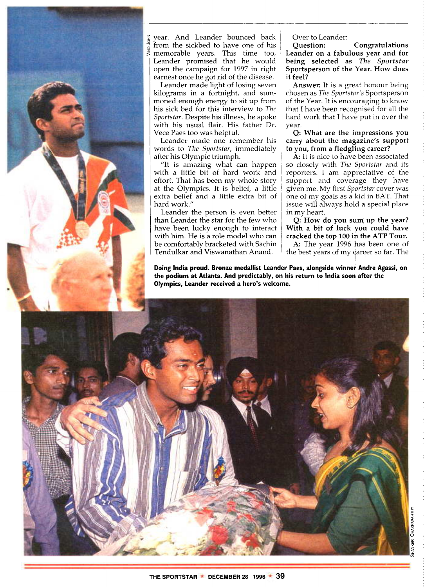

year. And Leander bounced back from the sickbed to have one of his  $\frac{3}{5}$  memorable years. This time too, Leander promised that he would open the campaign for 1997 in right earnest once he got rid of the disease.

Leander made light of losing seven kilograms in a fortnight, and summoned enough energy to sit up from his sick bed for this interview to *The Sportstar.* Despite his illness, he spoke with his usual flair. His father Dr. Vece Paes too was helpful.

Leander made one remember his words to *The Sportstar,* immediately after his Olympic triumph.

"It is amazing what can happen with a little bit of hard work and effort. That has been my whole story at the Olympics. It is belief, a little extra belief and a little extra bit of hard work."

Leander the person is even better than Leander the star for the few who have been lucky enough to interact with him. He is a role model who can be comfortably bracketed with Sachin Tendulkar and Viswanathan Anand.

Over to Leander:<br>**Ouestion:** 

**Question: Congratulations Leander on a fabulous year and for being selected as** *The Sportstar* **Sportsperson of the Year.** How **does it feel?**

**Answer:** It is a great honour being chosen as *The Sportstar's* Sportsperson of the Year. It is encouraging to know that I have been recognised for all the hard work that I have put in over the year.

**Q: What are the impressions you carry about the magazine's support to you, from a fledgling career?**

**A: It** is nice to have been associated so closely with *The Sportstar* and its reporters. I am appreciative of the support and coverage they have given me. My first *Sportstar* cover was one of my goals as a kid in BAT. That issue will always hold a special place in my heart.

**Q: How do you sum up the year? With a bit of luck you could have cracked the top 100 in the ATP Tour.**

**A:** The year 1996 has been one of the best years of my career so far. The

**Doing India proud. Bronze medallist Leander Paes, alongside winner Andre Agassi, on the podium at Atlanta. And predictably, on his return to India soon after the Olympics, Leander received a hero's welcome.**

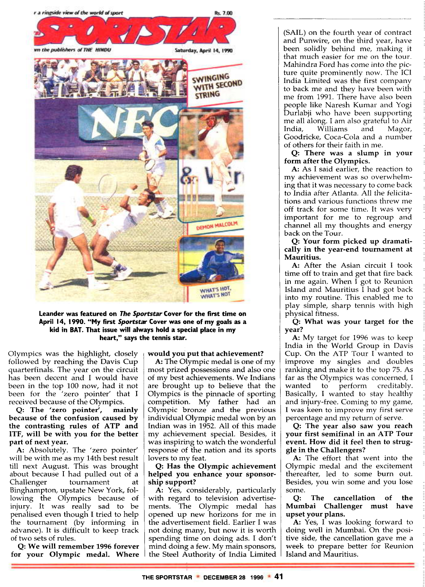

**Leander was featured on The Sportstar Cover for the first time on April 14, 1990. "My first Sportstar Cover was one of my goals as a kid in BAT. That issue will always hold a special place in my heart," says the tennis star.**

Olympics was the highlight, closely followed by reaching the Davis Cup quarterfinals. The year on the circuit has been decent and I would have been in the top 100 now, had it not been for the 'zero pointer' that I received because of the Olympics.

**Q: The 'zero pointer', mainly because of the confusion caused by the contrasting rules of ATP and ITF, will be with you for the better part of next year.**

**A:** Absolutely. The 'zero pointer' will be with me as my 14th best result till next August. This was brought about because I had pulled out of a Challenger tournament at Binghampton, upstate New York, following the Olympics because of injury. It was really sad to be penalised even though I tried to help the tournament (by informing in advance). It is difficult to keep track of two sets of rules.

**Q: We will remember 1996 forever for your Olympic medal. Where**

# **would you put that achievement?**

**A:** The Olympic medal is one of my most prized possessions and also one of my best achievements. We Indians are brought up to believe that the Olympics is the pinnacle of sporting competition. My father had an Olympic bronze and the previous individual Olympic medal won by an Indian was in 1952. All of this made my achievement special. Besides, it was inspiring to watch the wonderful response of the nation and its sports lovers to my feat.

### **Q: Has the Olympic achievement helped you enhance your sponsorship support?**

**A:** Yes, considerably, particularly with regard to television advertisements. The Olympic medal has opened up new horizons for me in the advertisement field. Earlier I was not doing many, but now it is worth spending time on doing ads. I don't mind doing a few. My main sponsors, the Steel Authority of India Limited (SAIL) on the fourth year of contract and Punwire, on the third year, have been solidly behind me, making it that much easier for me on the tour. Mahindra Ford has come into the picture quite prominently now. The ICI India Limited was the first company to back me and they have been with me from 1991. There have also been people like Naresh Kumar and Yogi Durlabji who have been supporting me all along. I am also grateful to Air India, Williams and Magor, Goodricke, Coca-Cola and a number of others for their faith in me.

**Q: There was a slump in your form after the Olympics.**

**A:** As **I** said earlier, the reaction to my achievement was so overwhelming that it was necessary to come back to India after Atlanta. All the felicitations and various functions threw me off track for some time. It was very important for me to regroup and channel all my thoughts and energy back on the Tour.

**Q: Your form picked up dramatically in the year-end tournament at Mauritius.**

**A:** After the Asian circuit I took time off to train and get that fire back in me again. When I got to Reunion Island and Mauritius I had got back into my routine. This enabled me to play simple, sharp tennis with high physical fitness.

**Q: What was your target for the year?**

**A:** My target for 1996 was to keep India in the World Group in Davis Cup. On the ATP Tour I wanted to improve my singles and doubles ranking and make it to the top 75. As far as the Olympics was concerned, I wanted to perform creditably. Basically, I wanted to stay healthy and injury-free. Coming to my game, I was keen to improve my first serve percentage and my return of serve.

**Q: The year also saw you reach your first semifinal** in **an ATP Tour event. How did it feel then to struggle in the Challengers?**

**A:** The effort that went into the Olympic medal and the excitement thereafter, led to some burn out. Besides, you win some and you lose some.

**Q: The cancellation of the Mumbai Challenger must have upset your plans.**

**A:** Yes, **I** was looking forward to doing well in Mumbai. On the positive side, the cancellation gave me a week to prepare better for Reunion Island and Mauritius.